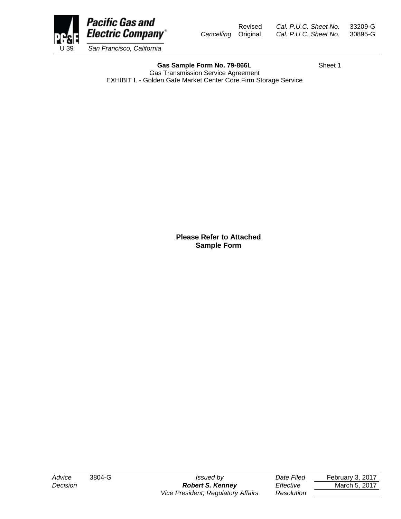

Gas Sample Form No. 79-866L Sheet 1 Gas Transmission Service Agreement EXHIBIT L - Golden Gate Market Center Core Firm Storage Service

**Please Refer to Attached Sample Form**

*Advice* 3804-G *Issued by Date Filed* February 3, 2017 **Decision** *Robert S. Kenney Effective* March 5, 2017 *Vice President, Regulatory Affairs Resolution*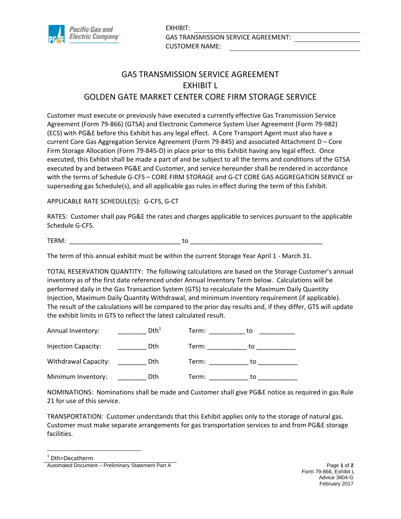

## GAS TRANSMISSION SERVICE AGREEMENT EXHIBIT L GOLDEN GATE MARKET CENTER CORE FIRM STORAGE SERVICE

Customer must execute or previously have executed a currently effective Gas Transmission Service Agreement (Form 79-866) (GTSA) and Electronic Commerce System User Agreement (Form 79-982) (ECS) with PG&E before this Exhibit has any legal effect. A Core Transport Agent must also have a current Core Gas Aggregation Service Agreement (Form 79-845) and associated Attachment D – Core Firm Storage Allocation (Form 79-845-D) in place prior to this Exhibit having any legal effect. Once executed, this Exhibit shall be made a part of and be subject to all the terms and conditions of the GTSA executed by and between PG&E and Customer, and service hereunder shall be rendered in accordance with the terms of Schedule G-CFS – CORE FIRM STORAGE and G-CT CORE GAS AGGREGATION SERVICE or superseding gas Schedule(s), and all applicable gas rules in effect during the term of this Exhibit.

APPLICABLE RATE SCHEDULE(S): G-CFS, G-CT

RATES: Customer shall pay PG&E the rates and charges applicable to services pursuant to the applicable Schedule G-CFS.

TERM: \_\_\_\_\_\_\_\_\_\_\_\_\_\_\_\_\_\_\_\_\_\_\_\_\_\_\_\_\_\_\_ to \_\_\_\_\_\_\_\_\_\_\_\_\_\_\_\_\_\_\_\_\_\_\_\_\_\_\_\_\_\_\_\_\_\_\_\_\_

The term of this annual exhibit must be within the current Storage Year April 1 - March 31.

TOTAL RESERVATION QUANTITY: The following calculations are based on the Storage Customer's annual inventory as of the first date referenced under Annual Inventory Term below. Calculations will be performed daily in the Gas Transaction System (GTS) to recalculate the Maximum Daily Quantity Injection, Maximum Daily Quantity Withdrawal, and minimum inventory requirement (if applicable). The result of the calculations will be compared to the prior day results and, if they differ, GTS will update the exhibit limits in GTS to reflect the latest calculated result.

| Annual Inventory:    | Dth <sup>1</sup> | Term: | το |
|----------------------|------------------|-------|----|
| Injection Capacity:  | <b>D</b> th      | Term: | to |
| Withdrawal Capacity: | Dth.             | Term: | tο |
| Minimum Inventory:   | Dth.             | Term: | tο |

NOMINATIONS: Nominations shall be made and Customer shall give PG&E notice as required in gas Rule 21 for use of this service.

TRANSPORTATION: Customer understands that this Exhibit applies only to the storage of natural gas. Customer must make separate arrangements for gas transportation services to and from PG&E storage facilities.

1 Dth=Decatherm

 $\overline{\phantom{a}}$ 

Automated Document – Preliminary Statement Part A **Page 1** of 2